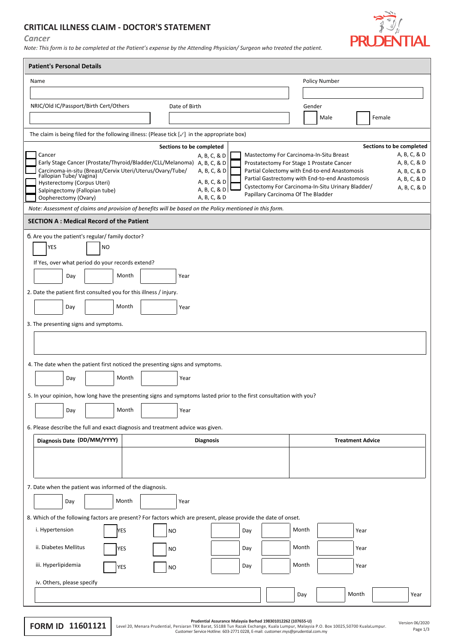## **CRITICAL ILLNESS CLAIM - DOCTOR'S STATEMENT**

## *Cancer*

*Note: This form is to be completed at the Patient's expense by the Attending Physician/ Surgeon who treated the patient.*



| <b>Patient's Personal Details</b>                                                                                    |                                                                                                                                      |  |  |  |  |  |  |  |  |
|----------------------------------------------------------------------------------------------------------------------|--------------------------------------------------------------------------------------------------------------------------------------|--|--|--|--|--|--|--|--|
| Name                                                                                                                 | Policy Number                                                                                                                        |  |  |  |  |  |  |  |  |
|                                                                                                                      |                                                                                                                                      |  |  |  |  |  |  |  |  |
| NRIC/Old IC/Passport/Birth Cert/Others<br>Date of Birth                                                              | Gender                                                                                                                               |  |  |  |  |  |  |  |  |
|                                                                                                                      | Female<br>Male                                                                                                                       |  |  |  |  |  |  |  |  |
| The claim is being filed for the following illness: (Please tick $[\sqrt{}]$ in the appropriate box)                 |                                                                                                                                      |  |  |  |  |  |  |  |  |
| Sections to be completed                                                                                             | Sections to be completed                                                                                                             |  |  |  |  |  |  |  |  |
| Cancer<br>A, B, C, & D<br>Early Stage Cancer (Prostate/Thyroid/Bladder/CLL/Melanoma) A, B, C, & D                    | A, B, C, & D<br>Mastectomy For Carcinoma-In-Situ Breast<br>Prostatectomy For Stage 1 Prostate Cancer<br>A, B, C, & D                 |  |  |  |  |  |  |  |  |
| Carcinoma-in-situ (Breast/Cervix Uteri/Uterus/Ovary/Tube/<br>A, B, C, & D<br>Fallopian Tube/Vagina)                  | Partial Colectomy with End-to-end Anastomosis<br>A, B, C, & D                                                                        |  |  |  |  |  |  |  |  |
| A, B, C, & D<br>Hysterectomy (Corpus Uteri)                                                                          | Partial Gastrectomy with End-to-end Anastomosis<br>A, B, C, & D<br>Cystectomy For Carcinoma-In-Situ Urinary Bladder/<br>A, B, C, & D |  |  |  |  |  |  |  |  |
| A, B, C, & D<br>Salpingectomy (Fallopian tube)<br>A, B, C, & D<br>Oopherectomy (Ovary)                               | Papillary Carcinoma Of The Bladder                                                                                                   |  |  |  |  |  |  |  |  |
| Note: Assessment of claims and provision of benefits will be based on the Policy mentioned in this form.             |                                                                                                                                      |  |  |  |  |  |  |  |  |
| <b>SECTION A: Medical Record of the Patient</b>                                                                      |                                                                                                                                      |  |  |  |  |  |  |  |  |
| . Are you the patient's regular/ family doctor?                                                                      |                                                                                                                                      |  |  |  |  |  |  |  |  |
| <b>YES</b><br><b>NO</b>                                                                                              |                                                                                                                                      |  |  |  |  |  |  |  |  |
| If Yes, over what period do your records extend?                                                                     |                                                                                                                                      |  |  |  |  |  |  |  |  |
| Month<br>Day<br>Year                                                                                                 |                                                                                                                                      |  |  |  |  |  |  |  |  |
| 2. Date the patient first consulted you for this illness / injury.                                                   |                                                                                                                                      |  |  |  |  |  |  |  |  |
| Month<br>Day<br>Year                                                                                                 |                                                                                                                                      |  |  |  |  |  |  |  |  |
|                                                                                                                      |                                                                                                                                      |  |  |  |  |  |  |  |  |
| 3. The presenting signs and symptoms.                                                                                |                                                                                                                                      |  |  |  |  |  |  |  |  |
|                                                                                                                      |                                                                                                                                      |  |  |  |  |  |  |  |  |
|                                                                                                                      |                                                                                                                                      |  |  |  |  |  |  |  |  |
| 4. The date when the patient first noticed the presenting signs and symptoms.                                        |                                                                                                                                      |  |  |  |  |  |  |  |  |
| Month<br>Day<br>Year                                                                                                 |                                                                                                                                      |  |  |  |  |  |  |  |  |
| 5. In your opinion, how long have the presenting signs and symptoms lasted prior to the first consultation with you? |                                                                                                                                      |  |  |  |  |  |  |  |  |
| Month<br>Day<br>Year                                                                                                 |                                                                                                                                      |  |  |  |  |  |  |  |  |
|                                                                                                                      |                                                                                                                                      |  |  |  |  |  |  |  |  |
| 6. Please describe the full and exact diagnosis and treatment advice was given.<br>Diagnosis Date (DD/MM/YYYY)       | <b>Treatment Advice</b>                                                                                                              |  |  |  |  |  |  |  |  |
| <b>Diagnosis</b>                                                                                                     |                                                                                                                                      |  |  |  |  |  |  |  |  |
|                                                                                                                      |                                                                                                                                      |  |  |  |  |  |  |  |  |
|                                                                                                                      |                                                                                                                                      |  |  |  |  |  |  |  |  |
| 7. Date when the patient was informed of the diagnosis.                                                              |                                                                                                                                      |  |  |  |  |  |  |  |  |
| Month<br>Day<br>Year                                                                                                 |                                                                                                                                      |  |  |  |  |  |  |  |  |
| 8. Which of the following factors are present? For factors which are present, please provide the date of onset.      |                                                                                                                                      |  |  |  |  |  |  |  |  |
| i. Hypertension<br>YES<br><b>NO</b><br>Day                                                                           | Month<br>Year                                                                                                                        |  |  |  |  |  |  |  |  |
| ii. Diabetes Mellitus<br>Day<br>YES<br><b>NO</b>                                                                     | Month<br>Year                                                                                                                        |  |  |  |  |  |  |  |  |
|                                                                                                                      |                                                                                                                                      |  |  |  |  |  |  |  |  |
| iii. Hyperlipidemia<br>Day<br>YES<br><b>NO</b>                                                                       | Month<br>Year                                                                                                                        |  |  |  |  |  |  |  |  |
| iv. Others, please specify                                                                                           |                                                                                                                                      |  |  |  |  |  |  |  |  |
|                                                                                                                      | Month<br>Day<br>Year                                                                                                                 |  |  |  |  |  |  |  |  |

Prudential Assurance Malaysia Berhad 198301012262 (107655-U)<br>Level 20, Menara Prudential, Persiaran TRX Barat, 55188 Tun Razak Exchange, Kuala Lumpur, Malaysia P.O. Box 10025,50700 KualaLumpur.<br>Customer Service Hotline: 60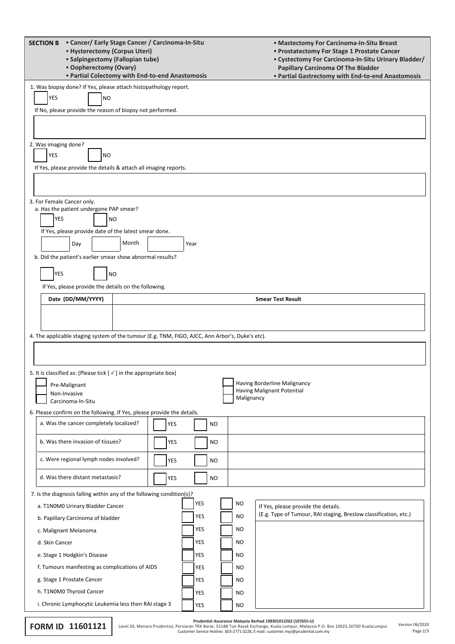| " Cancer/ Early Stage Cancer / Carcinoma-In-Situ<br><b>SECTION B</b><br><b>- Hysterectomy (Corpus Uteri)</b><br><b>Examplement State Setuple Setuple 1</b><br><b>• Oopherectomy (Ovary)</b><br><b>• Partial Colectomy with End-to-end Anastomosis</b> |                                                                                                                                     |            |      |            |  |            | " Mastectomy For Carcinoma-In-Situ Breast<br><b>• Prostatectomy For Stage 1 Prostate Cancer</b><br>" Cystectomy For Carcinoma-In-Situ Urinary Bladder/<br>Papillary Carcinoma Of The Bladder<br><b>• Partial Gastrectomy with End-to-end Anastomosis</b> |  |  |  |
|-------------------------------------------------------------------------------------------------------------------------------------------------------------------------------------------------------------------------------------------------------|-------------------------------------------------------------------------------------------------------------------------------------|------------|------|------------|--|------------|----------------------------------------------------------------------------------------------------------------------------------------------------------------------------------------------------------------------------------------------------------|--|--|--|
| <b>YES</b>                                                                                                                                                                                                                                            | 1. Was biopsy done? If Yes, please attach histopathology report.<br>NO<br>If No, please provide the reason of biopsy not performed. |            |      |            |  |            |                                                                                                                                                                                                                                                          |  |  |  |
|                                                                                                                                                                                                                                                       |                                                                                                                                     |            |      |            |  |            |                                                                                                                                                                                                                                                          |  |  |  |
|                                                                                                                                                                                                                                                       | 2. Was imaging done?                                                                                                                |            |      |            |  |            |                                                                                                                                                                                                                                                          |  |  |  |
| YES                                                                                                                                                                                                                                                   | <b>NO</b><br>If Yes, please provide the details & attach all imaging reports.                                                       |            |      |            |  |            |                                                                                                                                                                                                                                                          |  |  |  |
|                                                                                                                                                                                                                                                       |                                                                                                                                     |            |      |            |  |            |                                                                                                                                                                                                                                                          |  |  |  |
|                                                                                                                                                                                                                                                       |                                                                                                                                     |            |      |            |  |            |                                                                                                                                                                                                                                                          |  |  |  |
| 3. For Female Cancer only.                                                                                                                                                                                                                            |                                                                                                                                     |            |      |            |  |            |                                                                                                                                                                                                                                                          |  |  |  |
| <b>YES</b>                                                                                                                                                                                                                                            | a. Has the patient undergone PAP smear?<br><b>NO</b>                                                                                |            |      |            |  |            |                                                                                                                                                                                                                                                          |  |  |  |
|                                                                                                                                                                                                                                                       | If Yes, please provide date of the latest smear done.                                                                               |            |      |            |  |            |                                                                                                                                                                                                                                                          |  |  |  |
|                                                                                                                                                                                                                                                       | Month<br>Day                                                                                                                        |            | Year |            |  |            |                                                                                                                                                                                                                                                          |  |  |  |
|                                                                                                                                                                                                                                                       | b. Did the patient's earlier smear show abnormal results?                                                                           |            |      |            |  |            |                                                                                                                                                                                                                                                          |  |  |  |
| <b>YES</b>                                                                                                                                                                                                                                            | <b>NO</b>                                                                                                                           |            |      |            |  |            |                                                                                                                                                                                                                                                          |  |  |  |
|                                                                                                                                                                                                                                                       | If Yes, please provide the details on the following.                                                                                |            |      |            |  |            |                                                                                                                                                                                                                                                          |  |  |  |
|                                                                                                                                                                                                                                                       | Date (DD/MM/YYYY)                                                                                                                   |            |      |            |  |            | <b>Smear Test Result</b>                                                                                                                                                                                                                                 |  |  |  |
|                                                                                                                                                                                                                                                       |                                                                                                                                     |            |      |            |  |            |                                                                                                                                                                                                                                                          |  |  |  |
|                                                                                                                                                                                                                                                       |                                                                                                                                     |            |      |            |  |            |                                                                                                                                                                                                                                                          |  |  |  |
|                                                                                                                                                                                                                                                       | 4. The applicable staging system of the tumour (E.g. TNM, FIGO, AJCC, Ann Arbor's, Duke's etc).                                     |            |      |            |  |            |                                                                                                                                                                                                                                                          |  |  |  |
|                                                                                                                                                                                                                                                       |                                                                                                                                     |            |      |            |  |            |                                                                                                                                                                                                                                                          |  |  |  |
|                                                                                                                                                                                                                                                       |                                                                                                                                     |            |      |            |  |            |                                                                                                                                                                                                                                                          |  |  |  |
|                                                                                                                                                                                                                                                       | 5. It is classified as: (Please tick $[\checkmark]$ in the appropriate box)                                                         |            |      |            |  |            |                                                                                                                                                                                                                                                          |  |  |  |
|                                                                                                                                                                                                                                                       | Pre-Malignant<br>Non-Invasive                                                                                                       |            |      |            |  |            | Having Borderline Malignancy<br><b>Having Malignant Potential</b>                                                                                                                                                                                        |  |  |  |
|                                                                                                                                                                                                                                                       | Carcinoma-In-Situ                                                                                                                   |            |      |            |  | Malignancy |                                                                                                                                                                                                                                                          |  |  |  |
| 6. Please confirm on the following. If Yes, please provide the details.                                                                                                                                                                               |                                                                                                                                     |            |      |            |  |            |                                                                                                                                                                                                                                                          |  |  |  |
|                                                                                                                                                                                                                                                       | a. Was the cancer completely localized?                                                                                             | <b>YES</b> |      | NO         |  |            |                                                                                                                                                                                                                                                          |  |  |  |
|                                                                                                                                                                                                                                                       | b. Was there invasion of tissues?                                                                                                   | YES        |      | NO.        |  |            |                                                                                                                                                                                                                                                          |  |  |  |
|                                                                                                                                                                                                                                                       | c. Were regional lymph nodes involved?                                                                                              | YES        |      | NO         |  |            |                                                                                                                                                                                                                                                          |  |  |  |
|                                                                                                                                                                                                                                                       | d. Was there distant metastasis?                                                                                                    | YES        |      | NO         |  |            |                                                                                                                                                                                                                                                          |  |  |  |
|                                                                                                                                                                                                                                                       | 7. Is the diagnosis falling within any of the following condition(s)?                                                               |            |      |            |  |            |                                                                                                                                                                                                                                                          |  |  |  |
| <b>YES</b><br><b>NO</b><br>a. T1N0M0 Urinary Bladder Cancer<br>If Yes, please provide the details.                                                                                                                                                    |                                                                                                                                     |            |      |            |  |            |                                                                                                                                                                                                                                                          |  |  |  |
|                                                                                                                                                                                                                                                       | b. Papillary Carcinoma of bladder                                                                                                   |            |      | YES        |  | <b>NO</b>  | (E.g. Type of Tumour, RAI staging, Breslow classification, etc.)                                                                                                                                                                                         |  |  |  |
| c. Malignant Melanoma                                                                                                                                                                                                                                 |                                                                                                                                     |            |      | YES        |  | <b>NO</b>  |                                                                                                                                                                                                                                                          |  |  |  |
| d. Skin Cancer                                                                                                                                                                                                                                        |                                                                                                                                     |            |      | YES        |  | <b>NO</b>  |                                                                                                                                                                                                                                                          |  |  |  |
| e. Stage 1 Hodgkin's Disease                                                                                                                                                                                                                          |                                                                                                                                     |            |      | YES        |  | <b>NO</b>  |                                                                                                                                                                                                                                                          |  |  |  |
| f. Tumours manifesting as complications of AIDS                                                                                                                                                                                                       |                                                                                                                                     |            |      | <b>YES</b> |  | <b>NO</b>  |                                                                                                                                                                                                                                                          |  |  |  |
| g. Stage 1 Prostate Cancer                                                                                                                                                                                                                            |                                                                                                                                     |            |      | YES        |  | <b>NO</b>  |                                                                                                                                                                                                                                                          |  |  |  |
| h. T1N0M0 Thyroid Cancer                                                                                                                                                                                                                              |                                                                                                                                     |            |      | YES        |  | NO         |                                                                                                                                                                                                                                                          |  |  |  |
| i. Chronic Lymphocytic Leukemia less then RAI stage 3                                                                                                                                                                                                 |                                                                                                                                     | YES        |      | <b>NO</b>  |  |            |                                                                                                                                                                                                                                                          |  |  |  |

|  | <b>FORM ID 11601121</b> |
|--|-------------------------|
|  |                         |

Page 2/3 Pru**dential Assurance Malaysia Berhad 198301012262 (107655-U)**<br>Level 20, Menara Prudential, Persiaran TRX Barat, 55188 Tun Razak Exchange, Kuala Lumpur, Malaysia P.O. Box 10025,50700 KualaLumpur.